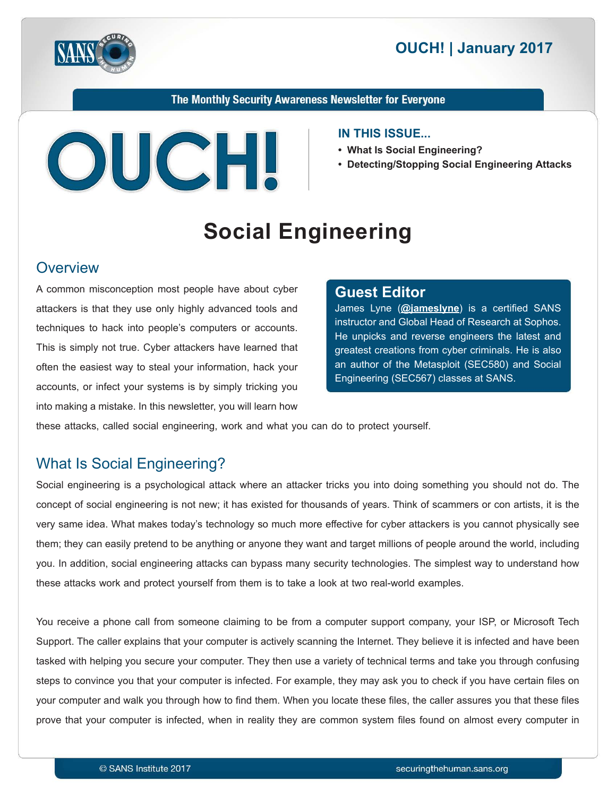



The Monthly Security Awareness Newsletter for Everyone



#### **IN THIS ISSUE...**

- What Is Social Engineering?
- **Detecting/Stopping Social Engineering Attacks**

# **Social Engineering**

#### **Overview**

A common misconception most people have about cyber attackers is that they use only highly advanced tools and techniques to hack into people's computers or accounts. This is simply not true. Cyber attackers have learned that often the easiest way to steal your information, hack your accounts, or infect your systems is by simply tricking you into making a mistake. In this newsletter, you will learn how

#### **Editor Guest**

James Lyne (@[jameslyne](https://twitter.com/jameslyne?lang=en)) is a certified SANS instructor and Global Head of Research at Sophos. He unpicks and reverse engineers the latest and greatest creations from cyber criminals. He is also an author of the Metasploit (SEC580) and Social Engineering (SEC567) classes at SANS.

these attacks, called social engineering, work and what you can do to protect yourself.

# What Is Social Engineering?

Social engineering is a psychological attack where an attacker tricks you into doing something you should not do. The concept of social engineering is not new; it has existed for thousands of years. Think of scammers or con artists, it is the very same idea. What makes today's technology so much more effective for cyber attackers is you cannot physically see them; they can easily pretend to be anything or anyone they want and target millions of people around the world, including you. In addition, social engineering attacks can bypass many security technologies. The simplest way to understand how these attacks work and protect yourself from them is to take a look at two real-world examples.

You receive a phone call from someone claiming to be from a computer support company, your ISP, or Microsoft Tech Support. The caller explains that your computer is actively scanning the Internet. They believe it is infected and have been tasked with helping you secure your computer. They then use a variety of technical terms and take you through confusing steps to convince you that your computer is infected. For example, they may ask you to check if you have certain files on your computer and walk you through how to find them. When you locate these files, the caller assures you that these files prove that your computer is infected, when in reality they are common system files found on almost every computer in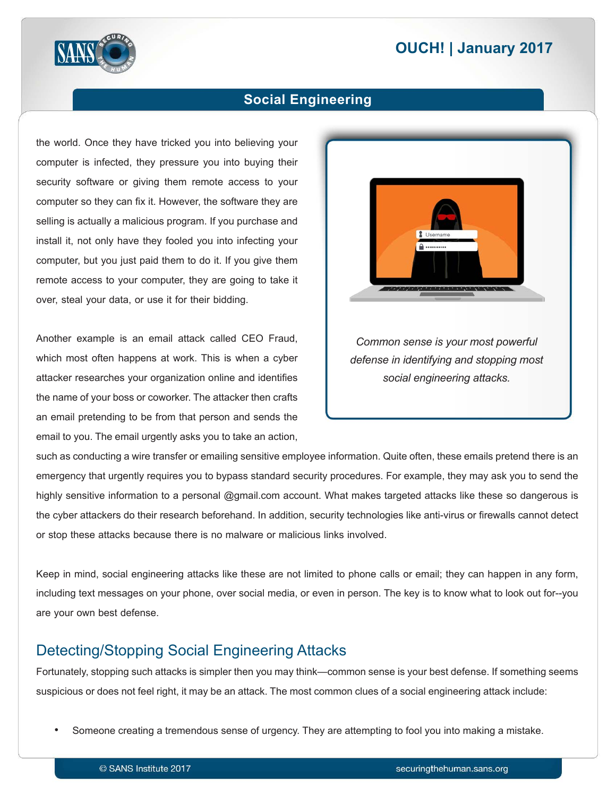# **2017 | OUCH! | January 2017**



#### **Social Engineering**

the world. Once they have tricked you into believing your computer is infected, they pressure you into buying their security software or giving them remote access to your computer so they can fix it. However, the software they are selling is actually a malicious program. If you purchase and install it, not only have they fooled you into infecting your computer, but you just paid them to do it. If you give them remote access to your computer, they are going to take it over, steal your data, or use it for their bidding.

Another example is an email attack called CEO Fraud, which most often happens at work. This is when a cyber attacker researches your organization online and identifies the name of your boss or coworker. The attacker then crafts an email pretending to be from that person and sends the email to you. The email urgently asks you to take an action,



*Common sense is your most powerful defense in identifying and stopping most .attacks engineering social*

such as conducting a wire transfer or emailing sensitive employee information. Quite often, these emails pretend there is an emergency that urgently requires you to bypass standard security procedures. For example, they may ask you to send the highly sensitive information to a personal @gmail.com account. What makes targeted attacks like these so dangerous is the cyber attackers do their research beforehand. In addition, security technologies like anti-virus or firewalls cannot detect or stop these attacks because there is no malware or malicious links involved.

Keep in mind, social engineering attacks like these are not limited to phone calls or email; they can happen in any form, including text messages on your phone, over social media, or even in person. The key is to know what to look out for--you are your own best defense.

#### Detecting/Stopping Social Engineering Attacks

Fortunately, stopping such attacks is simpler then you may think—common sense is your best defense. If something seems suspicious or does not feel right, it may be an attack. The most common clues of a social engineering attack include:

Someone creating a tremendous sense of urgency. They are attempting to fool you into making a mistake.